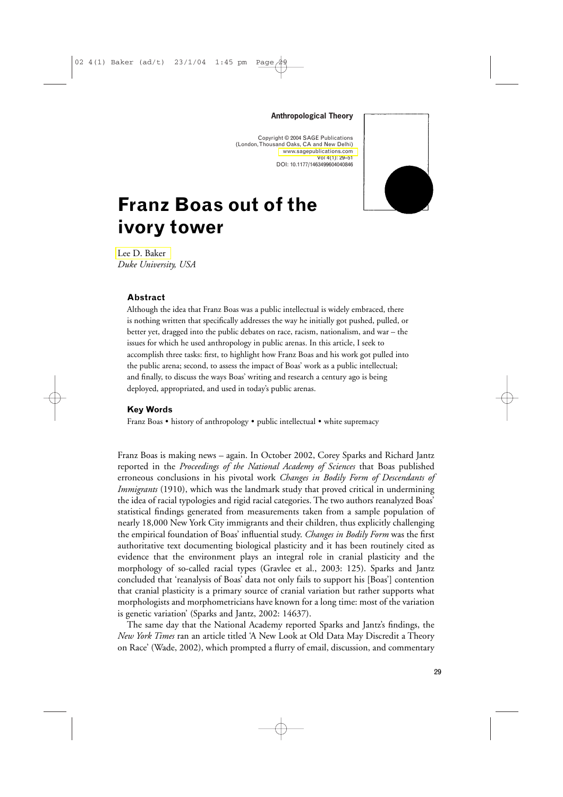#### **Anthropological Theory**

Copyright © 2004 SAGE Publications (London, Thousand Oaks, CA and New Delhi) <www.sagepublications.com> Vol 4(1): 29–51 DOI: 10.1177/1463499604040846



# **Franz Boas out of the ivory tower**

[Lee D. Baker](#page-22-0) *Duke University, USA*

### **Abstract**

Although the idea that Franz Boas was a public intellectual is widely embraced, there is nothing written that specifically addresses the way he initially got pushed, pulled, or better yet, dragged into the public debates on race, racism, nationalism, and war – the issues for which he used anthropology in public arenas. In this article, I seek to accomplish three tasks: first, to highlight how Franz Boas and his work got pulled into the public arena; second, to assess the impact of Boas' work as a public intellectual; and finally, to discuss the ways Boas' writing and research a century ago is being deployed, appropriated, and used in today's public arenas.

#### **Key Words**

Franz Boas • history of anthropology • public intellectual • white supremacy

Franz Boas is making news – again. In October 2002, Corey Sparks and Richard Jantz reported in the *Proceedings of the National Academy of Sciences* that Boas published erroneous conclusions in his pivotal work *Changes in Bodily Form of Descendants of Immigrants* (1910), which was the landmark study that proved critical in undermining the idea of racial typologies and rigid racial categories. The two authors reanalyzed Boas' statistical findings generated from measurements taken from a sample population of nearly 18,000 New York City immigrants and their children, thus explicitly challenging the empirical foundation of Boas' influential study. *Changes in Bodily Form* was the first authoritative text documenting biological plasticity and it has been routinely cited as evidence that the environment plays an integral role in cranial plasticity and the morphology of so-called racial types (Gravlee et al., 2003: 125). Sparks and Jantz concluded that 'reanalysis of Boas' data not only fails to support his [Boas'] contention that cranial plasticity is a primary source of cranial variation but rather supports what morphologists and morphometricians have known for a long time: most of the variation is genetic variation' (Sparks and Jantz, 2002: 14637).

The same day that the National Academy reported Sparks and Jantz's findings, the *New York Times* ran an article titled 'A New Look at Old Data May Discredit a Theory on Race' (Wade, 2002), which prompted a flurry of email, discussion, and commentary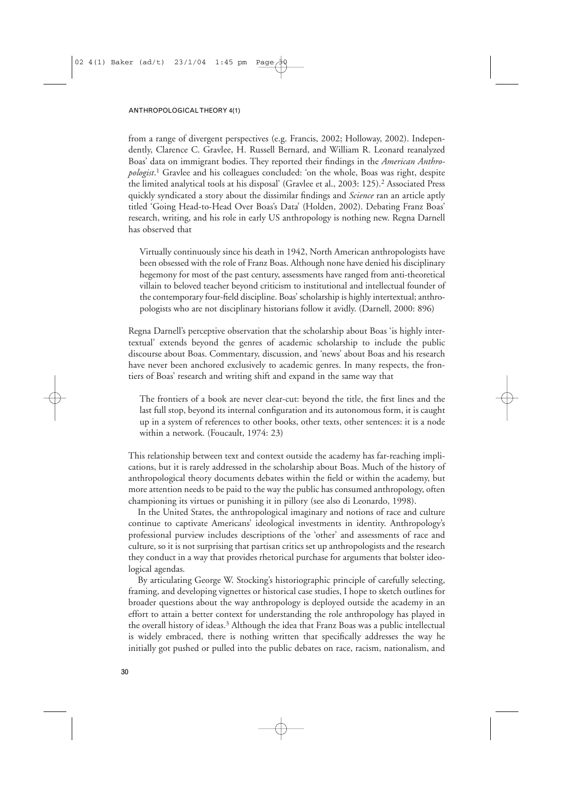from a range of divergent perspectives (e.g. Francis, 2002; Holloway, 2002). Independently, Clarence C. Gravlee, H. Russell Bernard, and William R. Leonard reanalyzed Boas' data on immigrant bodies. They reported their findings in the *American Anthropologist*. <sup>1</sup> Gravlee and his colleagues concluded: 'on the whole, Boas was right, despite the limited analytical tools at his disposal' (Gravlee et al., 2003: 125).2 Associated Press quickly syndicated a story about the dissimilar findings and *Science* ran an article aptly titled 'Going Head-to-Head Over Boas's Data' (Holden, 2002). Debating Franz Boas' research, writing, and his role in early US anthropology is nothing new. Regna Darnell has observed that

Virtually continuously since his death in 1942, North American anthropologists have been obsessed with the role of Franz Boas. Although none have denied his disciplinary hegemony for most of the past century, assessments have ranged from anti-theoretical villain to beloved teacher beyond criticism to institutional and intellectual founder of the contemporary four-field discipline. Boas' scholarship is highly intertextual; anthropologists who are not disciplinary historians follow it avidly. (Darnell, 2000: 896)

Regna Darnell's perceptive observation that the scholarship about Boas 'is highly intertextual' extends beyond the genres of academic scholarship to include the public discourse about Boas. Commentary, discussion, and 'news' about Boas and his research have never been anchored exclusively to academic genres. In many respects, the frontiers of Boas' research and writing shift and expand in the same way that

The frontiers of a book are never clear-cut: beyond the title, the first lines and the last full stop, beyond its internal configuration and its autonomous form, it is caught up in a system of references to other books, other texts, other sentences: it is a node within a network. (Foucault, 1974: 23)

This relationship between text and context outside the academy has far-reaching implications, but it is rarely addressed in the scholarship about Boas. Much of the history of anthropological theory documents debates within the field or within the academy, but more attention needs to be paid to the way the public has consumed anthropology, often championing its virtues or punishing it in pillory (see also di Leonardo, 1998).

In the United States, the anthropological imaginary and notions of race and culture continue to captivate Americans' ideological investments in identity. Anthropology's professional purview includes descriptions of the 'other' and assessments of race and culture, so it is not surprising that partisan critics set up anthropologists and the research they conduct in a way that provides rhetorical purchase for arguments that bolster ideological agendas.

By articulating George W. Stocking's historiographic principle of carefully selecting, framing, and developing vignettes or historical case studies, I hope to sketch outlines for broader questions about the way anthropology is deployed outside the academy in an effort to attain a better context for understanding the role anthropology has played in the overall history of ideas.<sup>3</sup> Although the idea that Franz Boas was a public intellectual is widely embraced, there is nothing written that specifically addresses the way he initially got pushed or pulled into the public debates on race, racism, nationalism, and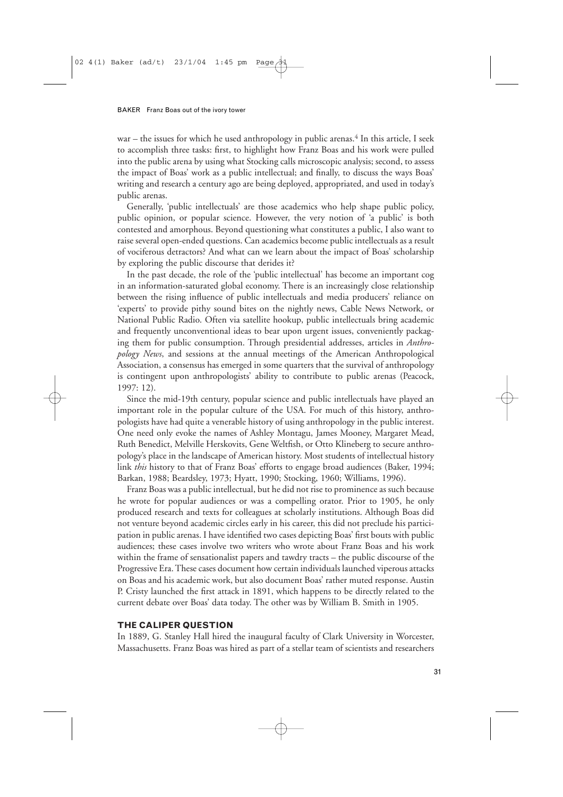war – the issues for which he used anthropology in public arenas. $4$  In this article, I seek to accomplish three tasks: first, to highlight how Franz Boas and his work were pulled into the public arena by using what Stocking calls microscopic analysis; second, to assess the impact of Boas' work as a public intellectual; and finally, to discuss the ways Boas' writing and research a century ago are being deployed, appropriated, and used in today's public arenas.

Generally, 'public intellectuals' are those academics who help shape public policy, public opinion, or popular science. However, the very notion of 'a public' is both contested and amorphous. Beyond questioning what constitutes a public, I also want to raise several open-ended questions. Can academics become public intellectuals as a result of vociferous detractors? And what can we learn about the impact of Boas' scholarship by exploring the public discourse that derides it?

In the past decade, the role of the 'public intellectual' has become an important cog in an information-saturated global economy. There is an increasingly close relationship between the rising influence of public intellectuals and media producers' reliance on 'experts' to provide pithy sound bites on the nightly news, Cable News Network, or National Public Radio. Often via satellite hookup, public intellectuals bring academic and frequently unconventional ideas to bear upon urgent issues, conveniently packaging them for public consumption. Through presidential addresses, articles in *Anthropology News*, and sessions at the annual meetings of the American Anthropological Association, a consensus has emerged in some quarters that the survival of anthropology is contingent upon anthropologists' ability to contribute to public arenas (Peacock, 1997: 12).

Since the mid-19th century, popular science and public intellectuals have played an important role in the popular culture of the USA. For much of this history, anthropologists have had quite a venerable history of using anthropology in the public interest. One need only evoke the names of Ashley Montagu, James Mooney, Margaret Mead, Ruth Benedict, Melville Herskovits, Gene Weltfish, or Otto Klineberg to secure anthropology's place in the landscape of American history. Most students of intellectual history link *this* history to that of Franz Boas' efforts to engage broad audiences (Baker, 1994; Barkan, 1988; Beardsley, 1973; Hyatt, 1990; Stocking, 1960; Williams, 1996).

Franz Boas was a public intellectual, but he did not rise to prominence as such because he wrote for popular audiences or was a compelling orator. Prior to 1905, he only produced research and texts for colleagues at scholarly institutions. Although Boas did not venture beyond academic circles early in his career, this did not preclude his participation in public arenas. I have identified two cases depicting Boas' first bouts with public audiences; these cases involve two writers who wrote about Franz Boas and his work within the frame of sensationalist papers and tawdry tracts – the public discourse of the Progressive Era. These cases document how certain individuals launched viperous attacks on Boas and his academic work, but also document Boas' rather muted response. Austin P. Cristy launched the first attack in 1891, which happens to be directly related to the current debate over Boas' data today. The other was by William B. Smith in 1905.

#### **THE CALIPER QUESTION**

In 1889, G. Stanley Hall hired the inaugural faculty of Clark University in Worcester, Massachusetts. Franz Boas was hired as part of a stellar team of scientists and researchers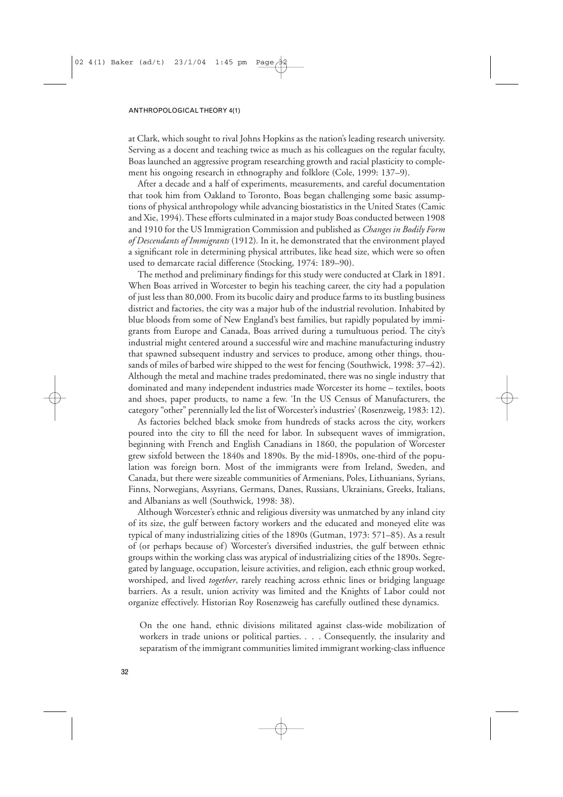#### ANTHROPOLOGICAL THEORY 4(1)

at Clark, which sought to rival Johns Hopkins as the nation's leading research university. Serving as a docent and teaching twice as much as his colleagues on the regular faculty, Boas launched an aggressive program researching growth and racial plasticity to complement his ongoing research in ethnography and folklore (Cole, 1999: 137–9).

After a decade and a half of experiments, measurements, and careful documentation that took him from Oakland to Toronto, Boas began challenging some basic assumptions of physical anthropology while advancing biostatistics in the United States (Camic and Xie, 1994). These efforts culminated in a major study Boas conducted between 1908 and 1910 for the US Immigration Commission and published as *Changes in Bodily Form of Descendants of Immigrants* (1912)*.* In it, he demonstrated that the environment played a significant role in determining physical attributes, like head size, which were so often used to demarcate racial difference (Stocking, 1974: 189–90).

The method and preliminary findings for this study were conducted at Clark in 1891. When Boas arrived in Worcester to begin his teaching career, the city had a population of just less than 80,000. From its bucolic dairy and produce farms to its bustling business district and factories, the city was a major hub of the industrial revolution. Inhabited by blue bloods from some of New England's best families, but rapidly populated by immigrants from Europe and Canada, Boas arrived during a tumultuous period. The city's industrial might centered around a successful wire and machine manufacturing industry that spawned subsequent industry and services to produce, among other things, thousands of miles of barbed wire shipped to the west for fencing (Southwick, 1998: 37–42). Although the metal and machine trades predominated, there was no single industry that dominated and many independent industries made Worcester its home – textiles, boots and shoes, paper products, to name a few. 'In the US Census of Manufacturers, the category "other" perennially led the list of Worcester's industries' (Rosenzweig, 1983: 12).

As factories belched black smoke from hundreds of stacks across the city, workers poured into the city to fill the need for labor. In subsequent waves of immigration, beginning with French and English Canadians in 1860, the population of Worcester grew sixfold between the 1840s and 1890s. By the mid-1890s, one-third of the population was foreign born. Most of the immigrants were from Ireland, Sweden, and Canada, but there were sizeable communities of Armenians, Poles, Lithuanians, Syrians, Finns, Norwegians, Assyrians, Germans, Danes, Russians, Ukrainians, Greeks, Italians, and Albanians as well (Southwick, 1998: 38).

Although Worcester's ethnic and religious diversity was unmatched by any inland city of its size, the gulf between factory workers and the educated and moneyed elite was typical of many industrializing cities of the 1890s (Gutman, 1973: 571–85). As a result of (or perhaps because of) Worcester's diversified industries, the gulf between ethnic groups within the working class was atypical of industrializing cities of the 1890s. Segregated by language, occupation, leisure activities, and religion, each ethnic group worked, worshiped, and lived *together*, rarely reaching across ethnic lines or bridging language barriers. As a result, union activity was limited and the Knights of Labor could not organize effectively. Historian Roy Rosenzweig has carefully outlined these dynamics.

On the one hand, ethnic divisions militated against class-wide mobilization of workers in trade unions or political parties. . . . Consequently, the insularity and separatism of the immigrant communities limited immigrant working-class influence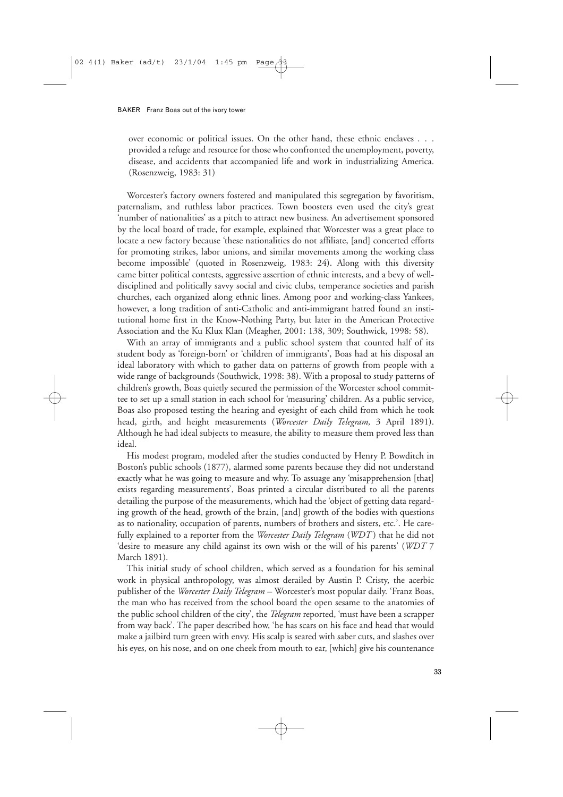over economic or political issues. On the other hand, these ethnic enclaves . . . provided a refuge and resource for those who confronted the unemployment, poverty, disease, and accidents that accompanied life and work in industrializing America. (Rosenzweig, 1983: 31)

Worcester's factory owners fostered and manipulated this segregation by favoritism, paternalism, and ruthless labor practices. Town boosters even used the city's great 'number of nationalities' as a pitch to attract new business. An advertisement sponsored by the local board of trade, for example, explained that Worcester was a great place to locate a new factory because 'these nationalities do not affiliate, [and] concerted efforts for promoting strikes, labor unions, and similar movements among the working class become impossible' (quoted in Rosenzweig, 1983: 24). Along with this diversity came bitter political contests, aggressive assertion of ethnic interests, and a bevy of welldisciplined and politically savvy social and civic clubs, temperance societies and parish churches, each organized along ethnic lines. Among poor and working-class Yankees, however, a long tradition of anti-Catholic and anti-immigrant hatred found an institutional home first in the Know-Nothing Party, but later in the American Protective Association and the Ku Klux Klan (Meagher, 2001: 138, 309; Southwick, 1998: 58).

With an array of immigrants and a public school system that counted half of its student body as 'foreign-born' or 'children of immigrants', Boas had at his disposal an ideal laboratory with which to gather data on patterns of growth from people with a wide range of backgrounds (Southwick, 1998: 38). With a proposal to study patterns of children's growth, Boas quietly secured the permission of the Worcester school committee to set up a small station in each school for 'measuring' children. As a public service, Boas also proposed testing the hearing and eyesight of each child from which he took head, girth, and height measurements (*Worcester Daily Telegram,* 3 April 1891). Although he had ideal subjects to measure, the ability to measure them proved less than ideal.

His modest program, modeled after the studies conducted by Henry P. Bowditch in Boston's public schools (1877), alarmed some parents because they did not understand exactly what he was going to measure and why. To assuage any 'misapprehension [that] exists regarding measurements', Boas printed a circular distributed to all the parents detailing the purpose of the measurements, which had the 'object of getting data regarding growth of the head, growth of the brain, [and] growth of the bodies with questions as to nationality, occupation of parents, numbers of brothers and sisters, etc.'. He carefully explained to a reporter from the *Worcester Daily Telegram* (*WDT* ) that he did not 'desire to measure any child against its own wish or the will of his parents' (*WDT* 7 March 1891).

This initial study of school children, which served as a foundation for his seminal work in physical anthropology, was almost derailed by Austin P. Cristy, the acerbic publisher of the *Worcester Daily Telegram –* Worcester's most popular daily. 'Franz Boas, the man who has received from the school board the open sesame to the anatomies of the public school children of the city', the *Telegram* reported, 'must have been a scrapper from way back'. The paper described how, 'he has scars on his face and head that would make a jailbird turn green with envy. His scalp is seared with saber cuts, and slashes over his eyes, on his nose, and on one cheek from mouth to ear, [which] give his countenance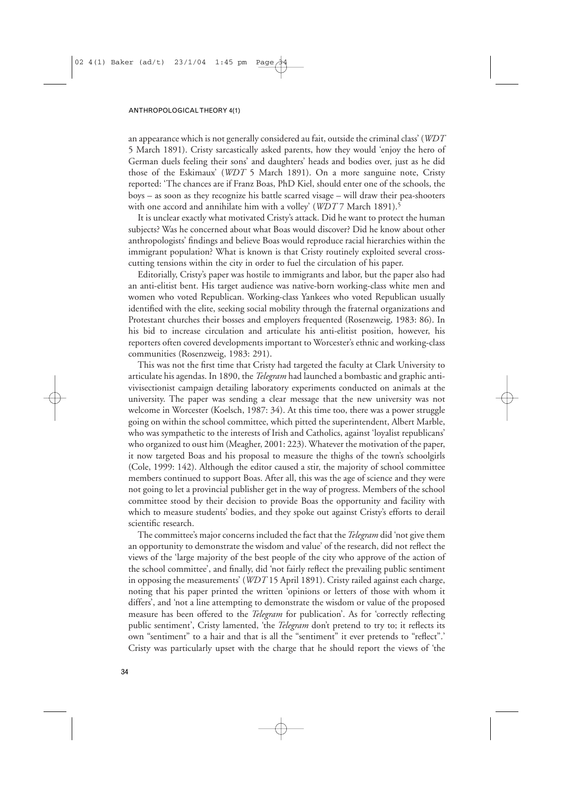an appearance which is not generally considered au fait, outside the criminal class' (*WDT* 5 March 1891). Cristy sarcastically asked parents, how they would 'enjoy the hero of German duels feeling their sons' and daughters' heads and bodies over, just as he did those of the Eskimaux' (*WDT* 5 March 1891). On a more sanguine note, Cristy reported: 'The chances are if Franz Boas, PhD Kiel, should enter one of the schools, the boys – as soon as they recognize his battle scarred visage – will draw their pea-shooters with one accord and annihilate him with a volley' (*WDT* 7 March 1891).<sup>5</sup>

It is unclear exactly what motivated Cristy's attack. Did he want to protect the human subjects? Was he concerned about what Boas would discover? Did he know about other anthropologists' findings and believe Boas would reproduce racial hierarchies within the immigrant population? What is known is that Cristy routinely exploited several crosscutting tensions within the city in order to fuel the circulation of his paper.

Editorially, Cristy's paper was hostile to immigrants and labor, but the paper also had an anti-elitist bent. His target audience was native-born working-class white men and women who voted Republican. Working-class Yankees who voted Republican usually identified with the elite, seeking social mobility through the fraternal organizations and Protestant churches their bosses and employers frequented (Rosenzweig, 1983: 86). In his bid to increase circulation and articulate his anti-elitist position, however, his reporters often covered developments important to Worcester's ethnic and working-class communities (Rosenzweig, 1983: 291).

This was not the first time that Cristy had targeted the faculty at Clark University to articulate his agendas. In 1890, the *Telegram* had launched a bombastic and graphic antivivisectionist campaign detailing laboratory experiments conducted on animals at the university. The paper was sending a clear message that the new university was not welcome in Worcester (Koelsch, 1987: 34). At this time too, there was a power struggle going on within the school committee, which pitted the superintendent, Albert Marble, who was sympathetic to the interests of Irish and Catholics, against 'loyalist republicans' who organized to oust him (Meagher, 2001: 223). Whatever the motivation of the paper, it now targeted Boas and his proposal to measure the thighs of the town's schoolgirls (Cole, 1999: 142). Although the editor caused a stir, the majority of school committee members continued to support Boas. After all, this was the age of science and they were not going to let a provincial publisher get in the way of progress. Members of the school committee stood by their decision to provide Boas the opportunity and facility with which to measure students' bodies, and they spoke out against Cristy's efforts to derail scientific research.

The committee's major concerns included the fact that the*Telegram* did 'not give them an opportunity to demonstrate the wisdom and value' of the research, did not reflect the views of the 'large majority of the best people of the city who approve of the action of the school committee', and finally, did 'not fairly reflect the prevailing public sentiment in opposing the measurements' (*WDT* 15 April 1891). Cristy railed against each charge, noting that his paper printed the written 'opinions or letters of those with whom it differs', and 'not a line attempting to demonstrate the wisdom or value of the proposed measure has been offered to the *Telegram* for publication'. As for 'correctly reflecting public sentiment', Cristy lamented, 'the *Telegram* don't pretend to try to; it reflects its own "sentiment" to a hair and that is all the "sentiment" it ever pretends to "reflect".' Cristy was particularly upset with the charge that he should report the views of 'the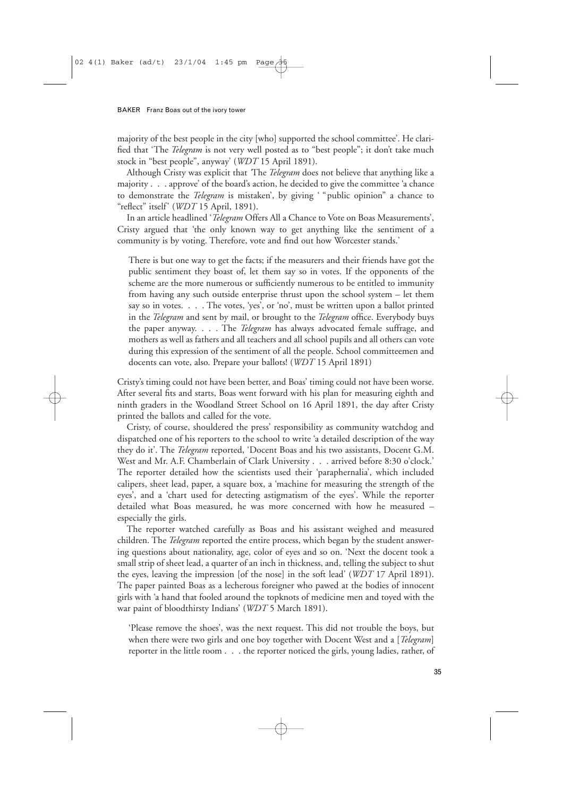majority of the best people in the city [who] supported the school committee'. He clarified that 'The *Telegram* is not very well posted as to "best people"; it don't take much stock in "best people", anyway' (*WDT* 15 April 1891).

Although Cristy was explicit that *'*The *Telegram* does not believe that anything like a majority . . . approve' of the board's action, he decided to give the committee 'a chance to demonstrate the *Telegram* is mistaken', by giving ' "public opinion" a chance to "reflect" itself' (*WDT* 15 April, 1891).

In an article headlined '*Telegram* Offers All a Chance to Vote on Boas Measurements', Cristy argued that 'the only known way to get anything like the sentiment of a community is by voting. Therefore, vote and find out how Worcester stands.'

There is but one way to get the facts; if the measurers and their friends have got the public sentiment they boast of, let them say so in votes. If the opponents of the scheme are the more numerous or sufficiently numerous to be entitled to immunity from having any such outside enterprise thrust upon the school system – let them say so in votes. . . . The votes, 'yes', or 'no', must be written upon a ballot printed in the *Telegram* and sent by mail, or brought to the *Telegram* office. Everybody buys the paper anyway. . . . The *Telegram* has always advocated female suffrage, and mothers as well as fathers and all teachers and all school pupils and all others can vote during this expression of the sentiment of all the people. School committeemen and docents can vote, also. Prepare your ballots! (*WDT* 15 April 1891)

Cristy's timing could not have been better, and Boas' timing could not have been worse. After several fits and starts, Boas went forward with his plan for measuring eighth and ninth graders in the Woodland Street School on 16 April 1891, the day after Cristy printed the ballots and called for the vote.

Cristy, of course, shouldered the press' responsibility as community watchdog and dispatched one of his reporters to the school to write 'a detailed description of the way they do it'. The *Telegram* reported, 'Docent Boas and his two assistants, Docent G.M. West and Mr. A.F. Chamberlain of Clark University . . . arrived before 8:30 o'clock.' The reporter detailed how the scientists used their 'paraphernalia', which included calipers, sheet lead, paper, a square box, a 'machine for measuring the strength of the eyes', and a 'chart used for detecting astigmatism of the eyes'. While the reporter detailed what Boas measured, he was more concerned with how he measured – especially the girls.

The reporter watched carefully as Boas and his assistant weighed and measured children. The *Telegram* reported the entire process, which began by the student answering questions about nationality, age, color of eyes and so on. 'Next the docent took a small strip of sheet lead, a quarter of an inch in thickness, and, telling the subject to shut the eyes, leaving the impression [of the nose] in the soft lead' (*WDT* 17 April 1891). The paper painted Boas as a lecherous foreigner who pawed at the bodies of innocent girls with 'a hand that fooled around the topknots of medicine men and toyed with the war paint of bloodthirsty Indians' (*WDT* 5 March 1891).

'Please remove the shoes', was the next request. This did not trouble the boys, but when there were two girls and one boy together with Docent West and a [*Telegram*] reporter in the little room . . . the reporter noticed the girls, young ladies, rather, of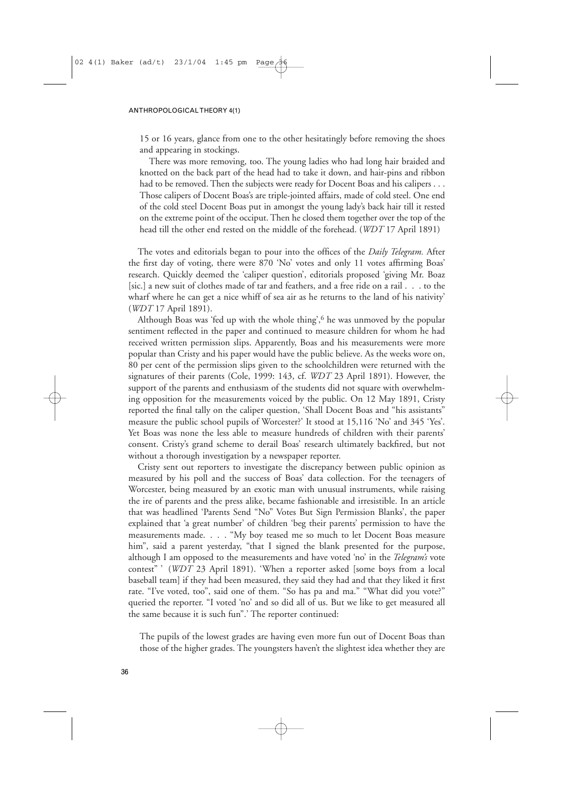15 or 16 years, glance from one to the other hesitatingly before removing the shoes and appearing in stockings.

There was more removing, too. The young ladies who had long hair braided and knotted on the back part of the head had to take it down, and hair-pins and ribbon had to be removed. Then the subjects were ready for Docent Boas and his calipers . . . Those calipers of Docent Boas's are triple-jointed affairs, made of cold steel. One end of the cold steel Docent Boas put in amongst the young lady's back hair till it rested on the extreme point of the occiput. Then he closed them together over the top of the head till the other end rested on the middle of the forehead. (*WDT* 17 April 1891)

The votes and editorials began to pour into the offices of the *Daily Telegram.* After the first day of voting, there were 870 'No' votes and only 11 votes affirming Boas' research. Quickly deemed the 'caliper question', editorials proposed 'giving Mr. Boaz [sic.] a new suit of clothes made of tar and feathers, and a free ride on a rail . . . to the wharf where he can get a nice whiff of sea air as he returns to the land of his nativity' (*WDT* 17 April 1891).

Although Boas was 'fed up with the whole thing',  $6$  he was unmoved by the popular sentiment reflected in the paper and continued to measure children for whom he had received written permission slips. Apparently, Boas and his measurements were more popular than Cristy and his paper would have the public believe. As the weeks wore on, 80 per cent of the permission slips given to the schoolchildren were returned with the signatures of their parents (Cole, 1999: 143, cf. *WDT* 23 April 1891). However, the support of the parents and enthusiasm of the students did not square with overwhelming opposition for the measurements voiced by the public. On 12 May 1891, Cristy reported the final tally on the caliper question, 'Shall Docent Boas and "his assistants" measure the public school pupils of Worcester?' It stood at 15,116 'No' and 345 'Yes'. Yet Boas was none the less able to measure hundreds of children with their parents' consent. Cristy's grand scheme to derail Boas' research ultimately backfired, but not without a thorough investigation by a newspaper reporter.

Cristy sent out reporters to investigate the discrepancy between public opinion as measured by his poll and the success of Boas' data collection. For the teenagers of Worcester, being measured by an exotic man with unusual instruments, while raising the ire of parents and the press alike, became fashionable and irresistible. In an article that was headlined 'Parents Send "No" Votes But Sign Permission Blanks', the paper explained that 'a great number' of children 'beg their parents' permission to have the measurements made. . . . "My boy teased me so much to let Docent Boas measure him", said a parent yesterday, "that I signed the blank presented for the purpose, although I am opposed to the measurements and have voted 'no' in the *Telegram's* vote contest" ' (*WDT* 23 April 1891). 'When a reporter asked [some boys from a local baseball team] if they had been measured, they said they had and that they liked it first rate. "I've voted, too", said one of them. "So has pa and ma." "What did you vote?" queried the reporter. "I voted 'no' and so did all of us. But we like to get measured all the same because it is such fun".' The reporter continued:

The pupils of the lowest grades are having even more fun out of Docent Boas than those of the higher grades. The youngsters haven't the slightest idea whether they are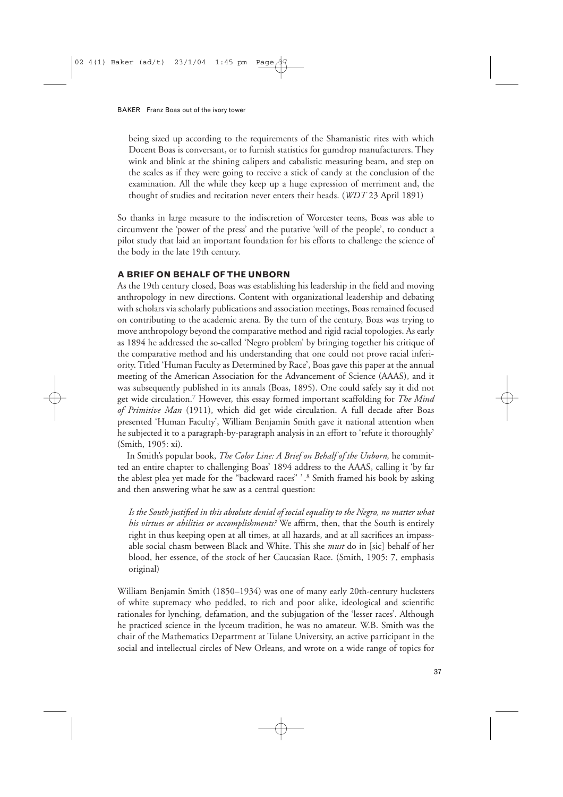being sized up according to the requirements of the Shamanistic rites with which Docent Boas is conversant, or to furnish statistics for gumdrop manufacturers. They wink and blink at the shining calipers and cabalistic measuring beam, and step on the scales as if they were going to receive a stick of candy at the conclusion of the examination. All the while they keep up a huge expression of merriment and, the thought of studies and recitation never enters their heads. (*WDT* 23 April 1891)

So thanks in large measure to the indiscretion of Worcester teens, Boas was able to circumvent the 'power of the press' and the putative 'will of the people', to conduct a pilot study that laid an important foundation for his efforts to challenge the science of the body in the late 19th century.

## **A BRIEF ON BEHALF OF THE UNBORN**

As the 19th century closed, Boas was establishing his leadership in the field and moving anthropology in new directions. Content with organizational leadership and debating with scholars via scholarly publications and association meetings, Boas remained focused on contributing to the academic arena. By the turn of the century, Boas was trying to move anthropology beyond the comparative method and rigid racial topologies. As early as 1894 he addressed the so-called 'Negro problem' by bringing together his critique of the comparative method and his understanding that one could not prove racial inferiority. Titled 'Human Faculty as Determined by Race', Boas gave this paper at the annual meeting of the American Association for the Advancement of Science (AAAS), and it was subsequently published in its annals (Boas, 1895). One could safely say it did not get wide circulation.7 However, this essay formed important scaffolding for *The Mind of Primitive Man* (1911), which did get wide circulation. A full decade after Boas presented 'Human Faculty', William Benjamin Smith gave it national attention when he subjected it to a paragraph-by-paragraph analysis in an effort to 'refute it thoroughly' (Smith, 1905: xi).

In Smith's popular book, *The Color Line: A Brief on Behalf of the Unborn,* he committed an entire chapter to challenging Boas' 1894 address to the AAAS, calling it 'by far the ablest plea yet made for the "backward races" ' .8 Smith framed his book by asking and then answering what he saw as a central question:

*Is the South justified in this absolute denial of social equality to the Negro, no matter what his virtues or abilities or accomplishments?* We affirm, then, that the South is entirely right in thus keeping open at all times, at all hazards, and at all sacrifices an impassable social chasm between Black and White. This she *must* do in [sic] behalf of her blood, her essence, of the stock of her Caucasian Race. (Smith, 1905: 7, emphasis original)

William Benjamin Smith (1850–1934) was one of many early 20th-century hucksters of white supremacy who peddled, to rich and poor alike, ideological and scientific rationales for lynching, defamation, and the subjugation of the 'lesser races'. Although he practiced science in the lyceum tradition, he was no amateur. W.B. Smith was the chair of the Mathematics Department at Tulane University, an active participant in the social and intellectual circles of New Orleans, and wrote on a wide range of topics for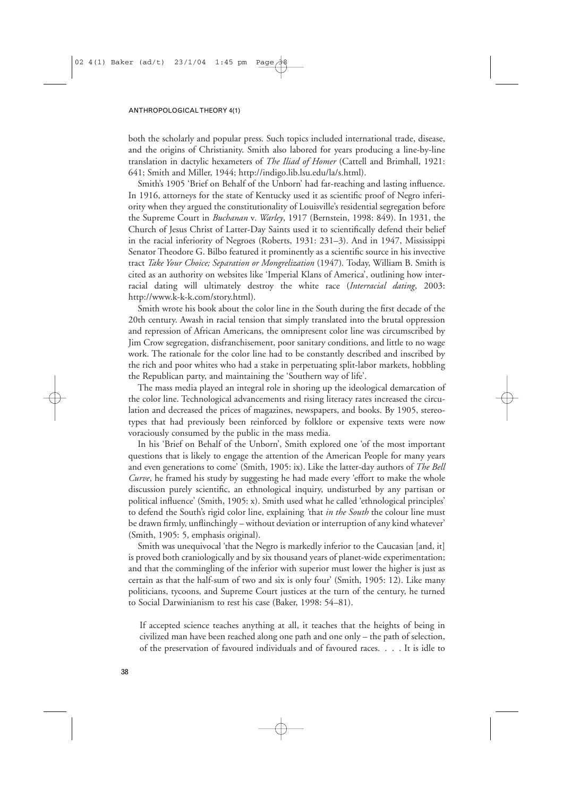both the scholarly and popular press. Such topics included international trade, disease, and the origins of Christianity. Smith also labored for years producing a line-by-line translation in dactylic hexameters of *The Iliad of Homer* (Cattell and Brimhall, 1921: 641; Smith and Miller, 1944; http://indigo.lib.lsu.edu/la/s.html).

Smith's 1905 'Brief on Behalf of the Unborn' had far-reaching and lasting influence. In 1916, attorneys for the state of Kentucky used it as scientific proof of Negro inferiority when they argued the constitutionality of Louisville's residential segregation before the Supreme Court in *Buchanan* v*. Warley*, 1917 (Bernstein, 1998: 849). In 1931, the Church of Jesus Christ of Latter-Day Saints used it to scientifically defend their belief in the racial inferiority of Negroes (Roberts, 1931: 231–3). And in 1947, Mississippi Senator Theodore G. Bilbo featured it prominently as a scientific source in his invective tract *Take Your Choice; Separation or Mongrelization* (1947)*.* Today, William B. Smith is cited as an authority on websites like 'Imperial Klans of America', outlining how interracial dating will ultimately destroy the white race (*Interracial dating*, 2003: http://www.k-k-k.com/story.html).

Smith wrote his book about the color line in the South during the first decade of the 20th century. Awash in racial tension that simply translated into the brutal oppression and repression of African Americans, the omnipresent color line was circumscribed by Jim Crow segregation, disfranchisement, poor sanitary conditions, and little to no wage work. The rationale for the color line had to be constantly described and inscribed by the rich and poor whites who had a stake in perpetuating split-labor markets, hobbling the Republican party, and maintaining the 'Southern way of life'.

The mass media played an integral role in shoring up the ideological demarcation of the color line. Technological advancements and rising literacy rates increased the circulation and decreased the prices of magazines, newspapers, and books. By 1905, stereotypes that had previously been reinforced by folklore or expensive texts were now voraciously consumed by the public in the mass media.

In his 'Brief on Behalf of the Unborn', Smith explored one 'of the most important questions that is likely to engage the attention of the American People for many years and even generations to come' (Smith, 1905: ix). Like the latter-day authors of *The Bell Curve*, he framed his study by suggesting he had made every 'effort to make the whole discussion purely scientific, an ethnological inquiry, undisturbed by any partisan or political influence' (Smith, 1905: x). Smith used what he called 'ethnological principles' to defend the South's rigid color line, explaining *'*that *in the South* the colour line must be drawn firmly, unflinchingly – without deviation or interruption of any kind whatever' (Smith, 1905: 5, emphasis original).

Smith was unequivocal 'that the Negro is markedly inferior to the Caucasian [and, it] is proved both craniologically and by six thousand years of planet-wide experimentation; and that the commingling of the inferior with superior must lower the higher is just as certain as that the half-sum of two and six is only four' (Smith, 1905: 12). Like many politicians, tycoons, and Supreme Court justices at the turn of the century, he turned to Social Darwinianism to rest his case (Baker, 1998: 54–81).

If accepted science teaches anything at all, it teaches that the heights of being in civilized man have been reached along one path and one only – the path of selection, of the preservation of favoured individuals and of favoured races. . . . It is idle to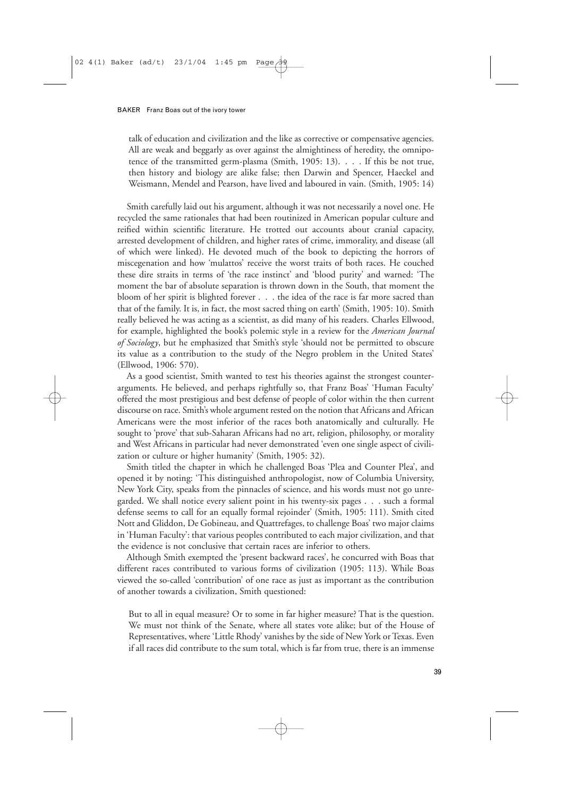talk of education and civilization and the like as corrective or compensative agencies. All are weak and beggarly as over against the almightiness of heredity, the omnipotence of the transmitted germ-plasma (Smith, 1905: 13). . . . If this be not true, then history and biology are alike false; then Darwin and Spencer, Haeckel and Weismann, Mendel and Pearson, have lived and laboured in vain. (Smith, 1905: 14)

Smith carefully laid out his argument, although it was not necessarily a novel one. He recycled the same rationales that had been routinized in American popular culture and reified within scientific literature. He trotted out accounts about cranial capacity, arrested development of children, and higher rates of crime, immorality, and disease (all of which were linked). He devoted much of the book to depicting the horrors of miscegenation and how 'mulattos' receive the worst traits of both races. He couched these dire straits in terms of 'the race instinct' and 'blood purity' and warned: 'The moment the bar of absolute separation is thrown down in the South, that moment the bloom of her spirit is blighted forever . . . the idea of the race is far more sacred than that of the family. It is, in fact, the most sacred thing on earth' (Smith, 1905: 10). Smith really believed he was acting as a scientist, as did many of his readers. Charles Ellwood, for example, highlighted the book's polemic style in a review for the *American Journal of Sociology*, but he emphasized that Smith's style 'should not be permitted to obscure its value as a contribution to the study of the Negro problem in the United States' (Ellwood, 1906: 570).

As a good scientist, Smith wanted to test his theories against the strongest counterarguments. He believed, and perhaps rightfully so, that Franz Boas' 'Human Faculty' offered the most prestigious and best defense of people of color within the then current discourse on race. Smith's whole argument rested on the notion that Africans and African Americans were the most inferior of the races both anatomically and culturally. He sought to 'prove' that sub-Saharan Africans had no art, religion, philosophy, or morality and West Africans in particular had never demonstrated 'even one single aspect of civilization or culture or higher humanity' (Smith, 1905: 32).

Smith titled the chapter in which he challenged Boas 'Plea and Counter Plea', and opened it by noting: 'This distinguished anthropologist, now of Columbia University, New York City, speaks from the pinnacles of science, and his words must not go unregarded. We shall notice every salient point in his twenty-six pages . . . such a formal defense seems to call for an equally formal rejoinder' (Smith, 1905: 111). Smith cited Nott and Gliddon, De Gobineau, and Quattrefages, to challenge Boas' two major claims in 'Human Faculty': that various peoples contributed to each major civilization, and that the evidence is not conclusive that certain races are inferior to others.

Although Smith exempted the 'present backward races', he concurred with Boas that different races contributed to various forms of civilization (1905: 113). While Boas viewed the so-called 'contribution' of one race as just as important as the contribution of another towards a civilization, Smith questioned:

But to all in equal measure? Or to some in far higher measure? That is the question. We must not think of the Senate, where all states vote alike; but of the House of Representatives, where 'Little Rhody' vanishes by the side of New York or Texas. Even if all races did contribute to the sum total, which is far from true, there is an immense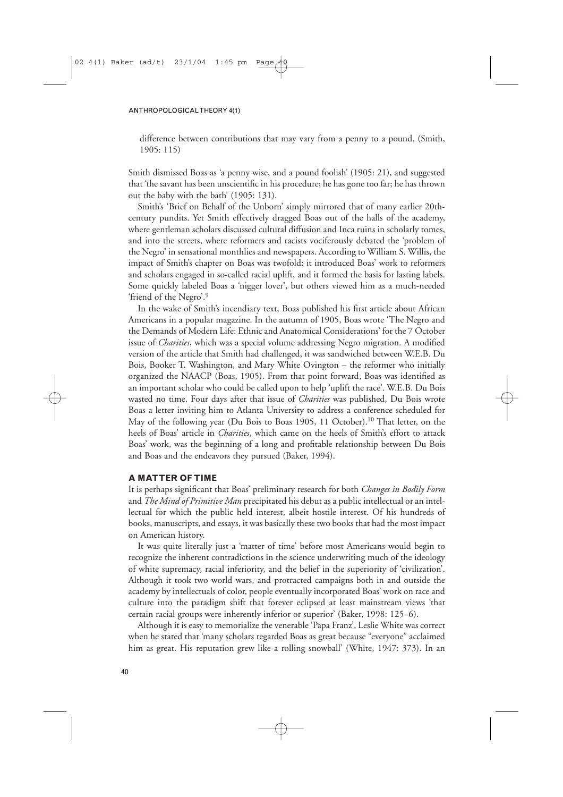difference between contributions that may vary from a penny to a pound. (Smith, 1905: 115)

Smith dismissed Boas as 'a penny wise, and a pound foolish' (1905: 21), and suggested that 'the savant has been unscientific in his procedure; he has gone too far; he has thrown out the baby with the bath' (1905: 131).

Smith's 'Brief on Behalf of the Unborn' simply mirrored that of many earlier 20thcentury pundits. Yet Smith effectively dragged Boas out of the halls of the academy, where gentleman scholars discussed cultural diffusion and Inca ruins in scholarly tomes, and into the streets, where reformers and racists vociferously debated the 'problem of the Negro' in sensational monthlies and newspapers. According to William S. Willis, the impact of Smith's chapter on Boas was twofold: it introduced Boas' work to reformers and scholars engaged in so-called racial uplift, and it formed the basis for lasting labels. Some quickly labeled Boas a 'nigger lover', but others viewed him as a much-needed 'friend of the Negro'.9

In the wake of Smith's incendiary text, Boas published his first article about African Americans in a popular magazine. In the autumn of 1905, Boas wrote 'The Negro and the Demands of Modern Life: Ethnic and Anatomical Considerations' for the 7 October issue of *Charities*, which was a special volume addressing Negro migration. A modified version of the article that Smith had challenged, it was sandwiched between W.E.B. Du Bois, Booker T. Washington, and Mary White Ovington – the reformer who initially organized the NAACP (Boas, 1905). From that point forward, Boas was identified as an important scholar who could be called upon to help 'uplift the race'. W.E.B. Du Bois wasted no time. Four days after that issue of *Charities* was published, Du Bois wrote Boas a letter inviting him to Atlanta University to address a conference scheduled for May of the following year (Du Bois to Boas 1905, 11 October).<sup>10</sup> That letter, on the heels of Boas' article in *Charities*, which came on the heels of Smith's effort to attack Boas' work, was the beginning of a long and profitable relationship between Du Bois and Boas and the endeavors they pursued (Baker, 1994).

## **A MATTER OF TIME**

It is perhaps significant that Boas' preliminary research for both *Changes in Bodily Form* and *The Mind of Primitive Man* precipitated his debut as a public intellectual or an intellectual for which the public held interest, albeit hostile interest. Of his hundreds of books, manuscripts, and essays, it was basically these two books that had the most impact on American history.

It was quite literally just a 'matter of time' before most Americans would begin to recognize the inherent contradictions in the science underwriting much of the ideology of white supremacy, racial inferiority, and the belief in the superiority of 'civilization'. Although it took two world wars, and protracted campaigns both in and outside the academy by intellectuals of color, people eventually incorporated Boas' work on race and culture into the paradigm shift that forever eclipsed at least mainstream views 'that certain racial groups were inherently inferior or superior' (Baker, 1998: 125–6).

Although it is easy to memorialize the venerable 'Papa Franz', Leslie White was correct when he stated that 'many scholars regarded Boas as great because "everyone" acclaimed him as great. His reputation grew like a rolling snowball' (White, 1947: 373). In an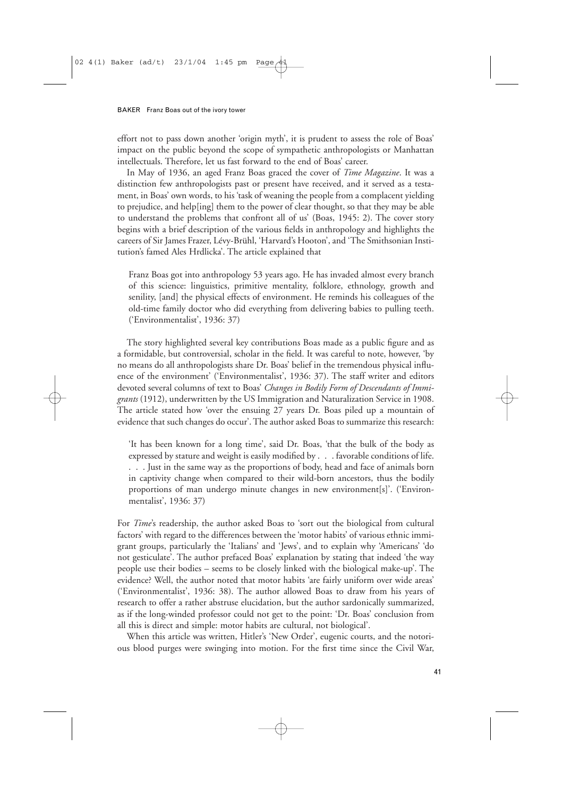effort not to pass down another 'origin myth', it is prudent to assess the role of Boas' impact on the public beyond the scope of sympathetic anthropologists or Manhattan intellectuals. Therefore, let us fast forward to the end of Boas' career.

In May of 1936, an aged Franz Boas graced the cover of *Time Magazine*. It was a distinction few anthropologists past or present have received, and it served as a testament, in Boas' own words, to his 'task of weaning the people from a complacent yielding to prejudice, and help[ing] them to the power of clear thought, so that they may be able to understand the problems that confront all of us' (Boas, 1945: 2). The cover story begins with a brief description of the various fields in anthropology and highlights the careers of Sir James Frazer, Lévy-Brühl, 'Harvard's Hooton', and 'The Smithsonian Institution's famed Ales Hrdlicka'. The article explained that

Franz Boas got into anthropology 53 years ago. He has invaded almost every branch of this science: linguistics, primitive mentality, folklore, ethnology, growth and senility, [and] the physical effects of environment. He reminds his colleagues of the old-time family doctor who did everything from delivering babies to pulling teeth. ('Environmentalist', 1936: 37)

The story highlighted several key contributions Boas made as a public figure and as a formidable, but controversial, scholar in the field. It was careful to note, however, 'by no means do all anthropologists share Dr. Boas' belief in the tremendous physical influence of the environment' ('Environmentalist', 1936: 37). The staff writer and editors devoted several columns of text to Boas' *Changes in Bodily Form of Descendants of Immigrants* (1912), underwritten by the US Immigration and Naturalization Service in 1908. The article stated how 'over the ensuing 27 years Dr. Boas piled up a mountain of evidence that such changes do occur'. The author asked Boas to summarize this research:

'It has been known for a long time', said Dr. Boas, 'that the bulk of the body as expressed by stature and weight is easily modified by . . . favorable conditions of life. ... Just in the same way as the proportions of body, head and face of animals born in captivity change when compared to their wild-born ancestors, thus the bodily proportions of man undergo minute changes in new environment[s]'. ('Environmentalist', 1936: 37)

For *Time*'s readership, the author asked Boas to 'sort out the biological from cultural factors' with regard to the differences between the 'motor habits' of various ethnic immigrant groups, particularly the 'Italians' and 'Jews', and to explain why 'Americans' 'do not gesticulate'. The author prefaced Boas' explanation by stating that indeed 'the way people use their bodies – seems to be closely linked with the biological make-up'. The evidence? Well, the author noted that motor habits 'are fairly uniform over wide areas' ('Environmentalist', 1936: 38). The author allowed Boas to draw from his years of research to offer a rather abstruse elucidation, but the author sardonically summarized, as if the long-winded professor could not get to the point: 'Dr. Boas' conclusion from all this is direct and simple: motor habits are cultural, not biological'.

When this article was written, Hitler's 'New Order', eugenic courts, and the notorious blood purges were swinging into motion. For the first time since the Civil War,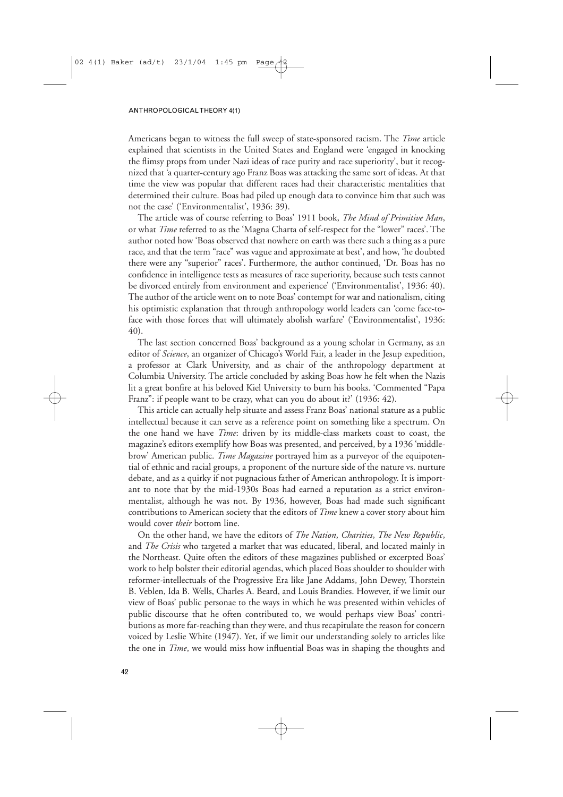Americans began to witness the full sweep of state-sponsored racism. The *Time* article explained that scientists in the United States and England were 'engaged in knocking the flimsy props from under Nazi ideas of race purity and race superiority', but it recognized that 'a quarter-century ago Franz Boas was attacking the same sort of ideas. At that time the view was popular that different races had their characteristic mentalities that determined their culture. Boas had piled up enough data to convince him that such was not the case' ('Environmentalist', 1936: 39).

The article was of course referring to Boas' 1911 book, *The Mind of Primitive Man*, or what *Time* referred to as the 'Magna Charta of self-respect for the "lower" races'. The author noted how 'Boas observed that nowhere on earth was there such a thing as a pure race, and that the term "race" was vague and approximate at best', and how, 'he doubted there were any "superior" races'. Furthermore, the author continued, 'Dr. Boas has no confidence in intelligence tests as measures of race superiority, because such tests cannot be divorced entirely from environment and experience' ('Environmentalist', 1936: 40). The author of the article went on to note Boas' contempt for war and nationalism, citing his optimistic explanation that through anthropology world leaders can 'come face-toface with those forces that will ultimately abolish warfare' ('Environmentalist', 1936: 40).

The last section concerned Boas' background as a young scholar in Germany, as an editor of *Science*, an organizer of Chicago's World Fair, a leader in the Jesup expedition, a professor at Clark University, and as chair of the anthropology department at Columbia University. The article concluded by asking Boas how he felt when the Nazis lit a great bonfire at his beloved Kiel University to burn his books. 'Commented "Papa Franz": if people want to be crazy, what can you do about it?' (1936: 42).

This article can actually help situate and assess Franz Boas' national stature as a public intellectual because it can serve as a reference point on something like a spectrum. On the one hand we have *Time*: driven by its middle-class markets coast to coast, the magazine's editors exemplify how Boas was presented, and perceived, by a 1936 'middlebrow' American public. *Time Magazine* portrayed him as a purveyor of the equipotential of ethnic and racial groups, a proponent of the nurture side of the nature vs. nurture debate, and as a quirky if not pugnacious father of American anthropology. It is important to note that by the mid-1930s Boas had earned a reputation as a strict environmentalist, although he was not. By 1936, however, Boas had made such significant contributions to American society that the editors of *Time* knew a cover story about him would cover *their* bottom line.

On the other hand, we have the editors of *The Nation*, *Charities*, *The New Republic*, and *The Crisis* who targeted a market that was educated, liberal, and located mainly in the Northeast. Quite often the editors of these magazines published or excerpted Boas' work to help bolster their editorial agendas, which placed Boas shoulder to shoulder with reformer-intellectuals of the Progressive Era like Jane Addams, John Dewey, Thorstein B. Veblen, Ida B. Wells, Charles A. Beard, and Louis Brandies. However, if we limit our view of Boas' public personae to the ways in which he was presented within vehicles of public discourse that he often contributed to, we would perhaps view Boas' contributions as more far-reaching than they were, and thus recapitulate the reason for concern voiced by Leslie White (1947). Yet, if we limit our understanding solely to articles like the one in *Time*, we would miss how influential Boas was in shaping the thoughts and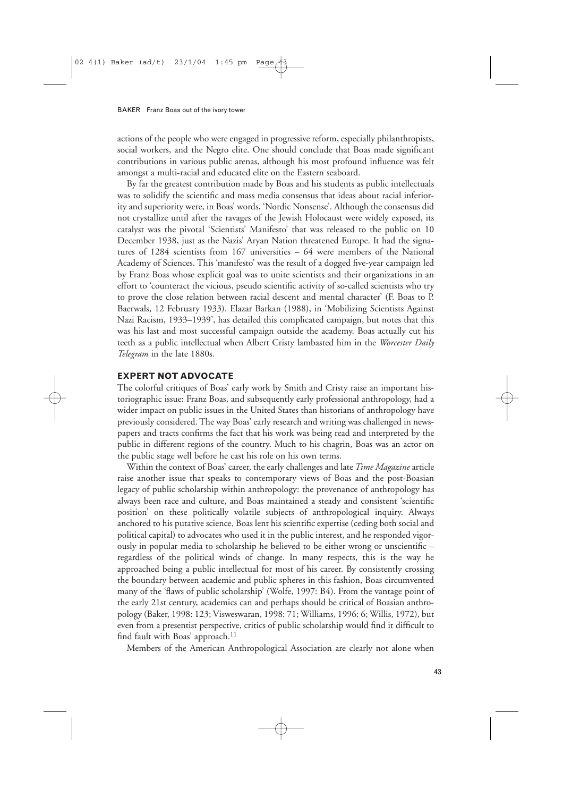actions of the people who were engaged in progressive reform, especially philanthropists, social workers, and the Negro elite. One should conclude that Boas made significant contributions in various public arenas, although his most profound influence was felt amongst a multi-racial and educated elite on the Eastern seaboard.

By far the greatest contribution made by Boas and his students as public intellectuals was to solidify the scientific and mass media consensus that ideas about racial inferiority and superiority were, in Boas' words, 'Nordic Nonsense'. Although the consensus did not crystallize until after the ravages of the Jewish Holocaust were widely exposed, its catalyst was the pivotal 'Scientists' Manifesto' that was released to the public on 10 December 1938, just as the Nazis' Aryan Nation threatened Europe. It had the signatures of 1284 scientists from 167 universities – 64 were members of the National Academy of Sciences. This 'manifesto' was the result of a dogged five-year campaign led by Franz Boas whose explicit goal was to unite scientists and their organizations in an effort to 'counteract the vicious, pseudo scientific activity of so-called scientists who try to prove the close relation between racial descent and mental character' (F. Boas to P. Baerwals, 12 February 1933). Elazar Barkan (1988), in 'Mobilizing Scientists Against Nazi Racism, 1933–1939', has detailed this complicated campaign, but notes that this was his last and most successful campaign outside the academy. Boas actually cut his teeth as a public intellectual when Albert Cristy lambasted him in the *Worcester Daily Telegram* in the late 1880s.

## **EXPERT NOT ADVOCATE**

The colorful critiques of Boas' early work by Smith and Cristy raise an important historiographic issue: Franz Boas, and subsequently early professional anthropology, had a wider impact on public issues in the United States than historians of anthropology have previously considered. The way Boas' early research and writing was challenged in newspapers and tracts confirms the fact that his work was being read and interpreted by the public in different regions of the country. Much to his chagrin, Boas was an actor on the public stage well before he cast his role on his own terms.

Within the context of Boas' career, the early challenges and late *Time Magazine* article raise another issue that speaks to contemporary views of Boas and the post-Boasian legacy of public scholarship within anthropology: the provenance of anthropology has always been race and culture, and Boas maintained a steady and consistent 'scientific position' on these politically volatile subjects of anthropological inquiry. Always anchored to his putative science, Boas lent his scientific expertise (ceding both social and political capital) to advocates who used it in the public interest, and he responded vigorously in popular media to scholarship he believed to be either wrong or unscientific – regardless of the political winds of change. In many respects, this is the way he approached being a public intellectual for most of his career. By consistently crossing the boundary between academic and public spheres in this fashion, Boas circumvented many of the 'flaws of public scholarship' (Wolfe, 1997: B4). From the vantage point of the early 21st century, academics can and perhaps should be critical of Boasian anthropology (Baker, 1998: 123; Visweswaran, 1998: 71; Williams, 1996: 6; Willis, 1972), but even from a presentist perspective, critics of public scholarship would find it difficult to find fault with Boas' approach.<sup>11</sup>

Members of the American Anthropological Association are clearly not alone when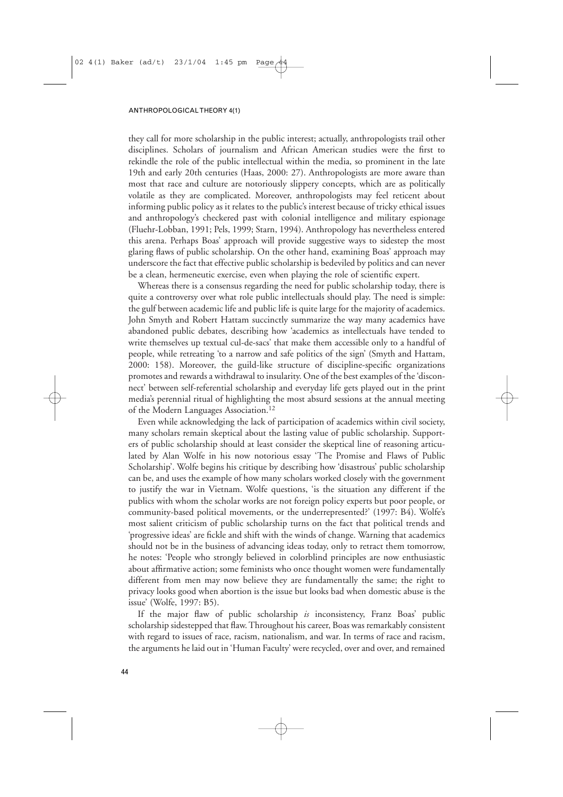they call for more scholarship in the public interest; actually, anthropologists trail other disciplines. Scholars of journalism and African American studies were the first to rekindle the role of the public intellectual within the media, so prominent in the late 19th and early 20th centuries (Haas, 2000: 27). Anthropologists are more aware than most that race and culture are notoriously slippery concepts, which are as politically volatile as they are complicated. Moreover, anthropologists may feel reticent about informing public policy as it relates to the public's interest because of tricky ethical issues and anthropology's checkered past with colonial intelligence and military espionage (Fluehr-Lobban, 1991; Pels, 1999; Starn, 1994). Anthropology has nevertheless entered this arena. Perhaps Boas' approach will provide suggestive ways to sidestep the most glaring flaws of public scholarship. On the other hand, examining Boas' approach may underscore the fact that effective public scholarship is bedeviled by politics and can never be a clean, hermeneutic exercise, even when playing the role of scientific expert.

Whereas there is a consensus regarding the need for public scholarship today, there is quite a controversy over what role public intellectuals should play. The need is simple: the gulf between academic life and public life is quite large for the majority of academics. John Smyth and Robert Hattam succinctly summarize the way many academics have abandoned public debates, describing how 'academics as intellectuals have tended to write themselves up textual cul-de-sacs' that make them accessible only to a handful of people, while retreating 'to a narrow and safe politics of the sign' (Smyth and Hattam, 2000: 158). Moreover, the guild-like structure of discipline-specific organizations promotes and rewards a withdrawal to insularity. One of the best examples of the 'disconnect' between self-referential scholarship and everyday life gets played out in the print media's perennial ritual of highlighting the most absurd sessions at the annual meeting of the Modern Languages Association.12

Even while acknowledging the lack of participation of academics within civil society, many scholars remain skeptical about the lasting value of public scholarship. Supporters of public scholarship should at least consider the skeptical line of reasoning articulated by Alan Wolfe in his now notorious essay 'The Promise and Flaws of Public Scholarship'. Wolfe begins his critique by describing how 'disastrous' public scholarship can be, and uses the example of how many scholars worked closely with the government to justify the war in Vietnam. Wolfe questions, 'is the situation any different if the publics with whom the scholar works are not foreign policy experts but poor people, or community-based political movements, or the underrepresented?' (1997: B4). Wolfe's most salient criticism of public scholarship turns on the fact that political trends and 'progressive ideas' are fickle and shift with the winds of change. Warning that academics should not be in the business of advancing ideas today, only to retract them tomorrow, he notes: 'People who strongly believed in colorblind principles are now enthusiastic about affirmative action; some feminists who once thought women were fundamentally different from men may now believe they are fundamentally the same; the right to privacy looks good when abortion is the issue but looks bad when domestic abuse is the issue' (Wolfe, 1997: B5).

If the major flaw of public scholarship *is* inconsistency, Franz Boas' public scholarship sidestepped that flaw. Throughout his career, Boas was remarkably consistent with regard to issues of race, racism, nationalism, and war. In terms of race and racism, the arguments he laid out in 'Human Faculty' were recycled, over and over, and remained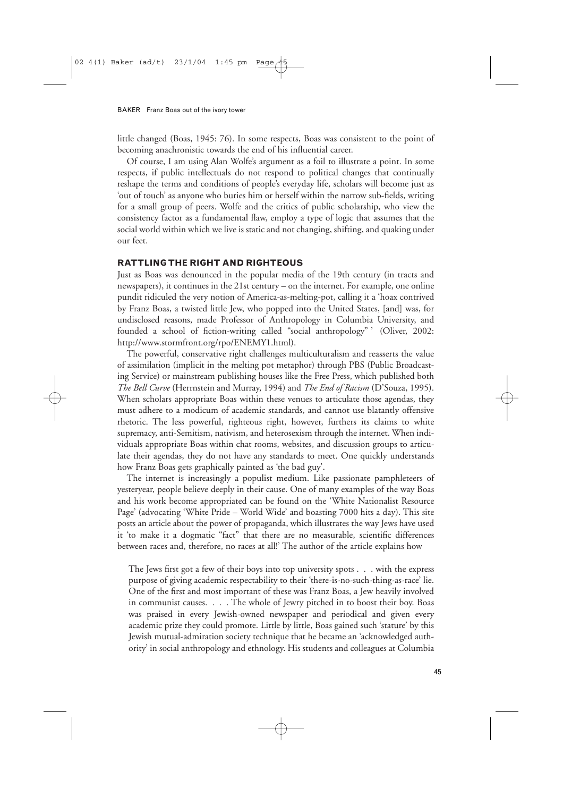little changed (Boas, 1945: 76). In some respects, Boas was consistent to the point of becoming anachronistic towards the end of his influential career.

Of course, I am using Alan Wolfe's argument as a foil to illustrate a point. In some respects, if public intellectuals do not respond to political changes that continually reshape the terms and conditions of people's everyday life, scholars will become just as 'out of touch' as anyone who buries him or herself within the narrow sub-fields, writing for a small group of peers. Wolfe and the critics of public scholarship, who view the consistency factor as a fundamental flaw, employ a type of logic that assumes that the social world within which we live is static and not changing, shifting, and quaking under our feet.

### **RATTLING THE RIGHT AND RIGHTEOUS**

Just as Boas was denounced in the popular media of the 19th century (in tracts and newspapers), it continues in the 21st century – on the internet. For example, one online pundit ridiculed the very notion of America-as-melting-pot, calling it a 'hoax contrived by Franz Boas, a twisted little Jew, who popped into the United States, [and] was, for undisclosed reasons, made Professor of Anthropology in Columbia University, and founded a school of fiction-writing called "social anthropology" ' (Oliver, 2002: http://www.stormfront.org/rpo/ENEMY1.html).

The powerful, conservative right challenges multiculturalism and reasserts the value of assimilation (implicit in the melting pot metaphor) through PBS (Public Broadcasting Service) or mainstream publishing houses like the Free Press, which published both *The Bell Curve* (Herrnstein and Murray, 1994) and *The End of Racism* (D'Souza, 1995). When scholars appropriate Boas within these venues to articulate those agendas, they must adhere to a modicum of academic standards, and cannot use blatantly offensive rhetoric. The less powerful, righteous right, however, furthers its claims to white supremacy, anti-Semitism, nativism, and heterosexism through the internet. When individuals appropriate Boas within chat rooms, websites, and discussion groups to articulate their agendas, they do not have any standards to meet. One quickly understands how Franz Boas gets graphically painted as 'the bad guy'.

The internet is increasingly a populist medium. Like passionate pamphleteers of yesteryear, people believe deeply in their cause. One of many examples of the way Boas and his work become appropriated can be found on the 'White Nationalist Resource Page' (advocating 'White Pride – World Wide' and boasting 7000 hits a day). This site posts an article about the power of propaganda, which illustrates the way Jews have used it 'to make it a dogmatic "fact" that there are no measurable, scientific differences between races and, therefore, no races at all!' The author of the article explains how

The Jews first got a few of their boys into top university spots . . . with the express purpose of giving academic respectability to their 'there-is-no-such-thing-as-race' lie. One of the first and most important of these was Franz Boas, a Jew heavily involved in communist causes. . . . The whole of Jewry pitched in to boost their boy. Boas was praised in every Jewish-owned newspaper and periodical and given every academic prize they could promote. Little by little, Boas gained such 'stature' by this Jewish mutual-admiration society technique that he became an 'acknowledged authority' in social anthropology and ethnology. His students and colleagues at Columbia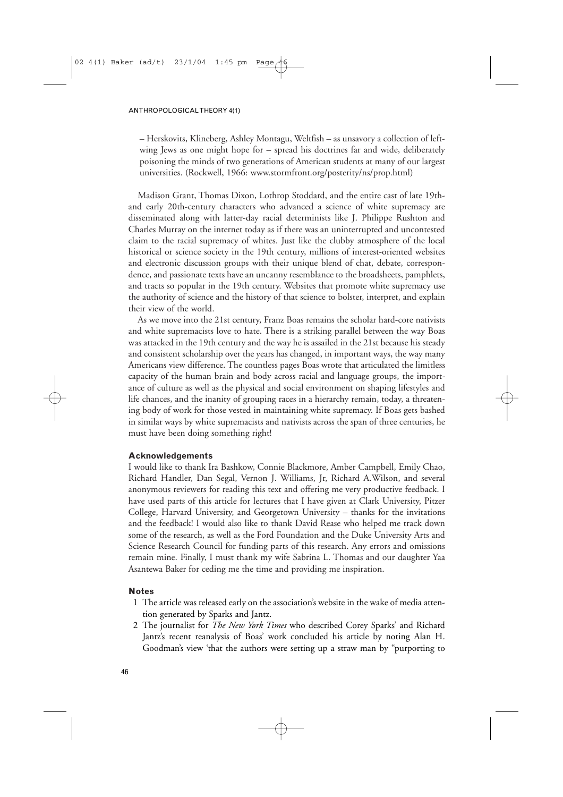– Herskovits, Klineberg, Ashley Montagu, Weltfish – as unsavory a collection of leftwing Jews as one might hope for – spread his doctrines far and wide, deliberately poisoning the minds of two generations of American students at many of our largest universities. (Rockwell, 1966: www.stormfront.org/posterity/ns/prop.html)

Madison Grant, Thomas Dixon, Lothrop Stoddard, and the entire cast of late 19thand early 20th-century characters who advanced a science of white supremacy are disseminated along with latter-day racial determinists like J. Philippe Rushton and Charles Murray on the internet today as if there was an uninterrupted and uncontested claim to the racial supremacy of whites. Just like the clubby atmosphere of the local historical or science society in the 19th century, millions of interest-oriented websites and electronic discussion groups with their unique blend of chat, debate, correspondence, and passionate texts have an uncanny resemblance to the broadsheets, pamphlets, and tracts so popular in the 19th century. Websites that promote white supremacy use the authority of science and the history of that science to bolster, interpret, and explain their view of the world.

As we move into the 21st century, Franz Boas remains the scholar hard-core nativists and white supremacists love to hate. There is a striking parallel between the way Boas was attacked in the 19th century and the way he is assailed in the 21st because his steady and consistent scholarship over the years has changed, in important ways, the way many Americans view difference. The countless pages Boas wrote that articulated the limitless capacity of the human brain and body across racial and language groups, the importance of culture as well as the physical and social environment on shaping lifestyles and life chances, and the inanity of grouping races in a hierarchy remain, today, a threatening body of work for those vested in maintaining white supremacy. If Boas gets bashed in similar ways by white supremacists and nativists across the span of three centuries, he must have been doing something right!

## **Acknowledgements**

I would like to thank Ira Bashkow, Connie Blackmore, Amber Campbell, Emily Chao, Richard Handler, Dan Segal, Vernon J. Williams, Jr, Richard A.Wilson, and several anonymous reviewers for reading this text and offering me very productive feedback. I have used parts of this article for lectures that I have given at Clark University, Pitzer College, Harvard University, and Georgetown University – thanks for the invitations and the feedback! I would also like to thank David Rease who helped me track down some of the research, as well as the Ford Foundation and the Duke University Arts and Science Research Council for funding parts of this research. Any errors and omissions remain mine. Finally, I must thank my wife Sabrina L. Thomas and our daughter Yaa Asantewa Baker for ceding me the time and providing me inspiration.

## **Notes**

- 11 The article was released early on the association's website in the wake of media attention generated by Sparks and Jantz.
- 12 The journalist for *The New York Times* who described Corey Sparks' and Richard Jantz's recent reanalysis of Boas' work concluded his article by noting Alan H. Goodman's view 'that the authors were setting up a straw man by "purporting to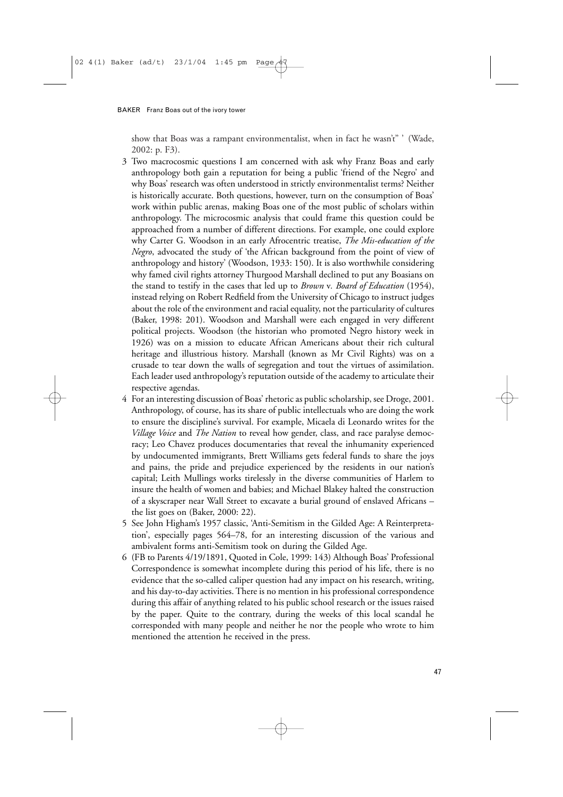show that Boas was a rampant environmentalist, when in fact he wasn't" ' (Wade, 2002: p. F3).

- 13 Two macrocosmic questions I am concerned with ask why Franz Boas and early anthropology both gain a reputation for being a public 'friend of the Negro' and why Boas' research was often understood in strictly environmentalist terms? Neither is historically accurate. Both questions, however, turn on the consumption of Boas' work within public arenas, making Boas one of the most public of scholars within anthropology. The microcosmic analysis that could frame this question could be approached from a number of different directions. For example, one could explore why Carter G. Woodson in an early Afrocentric treatise, *The Mis-education of the Negro*, advocated the study of 'the African background from the point of view of anthropology and history' (Woodson, 1933: 150). It is also worthwhile considering why famed civil rights attorney Thurgood Marshall declined to put any Boasians on the stand to testify in the cases that led up to *Brown* v*. Board of Education* (1954), instead relying on Robert Redfield from the University of Chicago to instruct judges about the role of the environment and racial equality, not the particularity of cultures (Baker, 1998: 201). Woodson and Marshall were each engaged in very different political projects. Woodson (the historian who promoted Negro history week in 1926) was on a mission to educate African Americans about their rich cultural heritage and illustrious history. Marshall (known as Mr Civil Rights) was on a crusade to tear down the walls of segregation and tout the virtues of assimilation. Each leader used anthropology's reputation outside of the academy to articulate their respective agendas.
- 14 For an interesting discussion of Boas' rhetoric as public scholarship, see Droge, 2001. Anthropology, of course, has its share of public intellectuals who are doing the work to ensure the discipline's survival. For example, Micaela di Leonardo writes for the *Village Voice* and *The Nation* to reveal how gender, class, and race paralyse democracy; Leo Chavez produces documentaries that reveal the inhumanity experienced by undocumented immigrants, Brett Williams gets federal funds to share the joys and pains, the pride and prejudice experienced by the residents in our nation's capital; Leith Mullings works tirelessly in the diverse communities of Harlem to insure the health of women and babies; and Michael Blakey halted the construction of a skyscraper near Wall Street to excavate a burial ground of enslaved Africans – the list goes on (Baker, 2000: 22).
- 15 See John Higham's 1957 classic, 'Anti-Semitism in the Gilded Age: A Reinterpretation', especially pages 564–78, for an interesting discussion of the various and ambivalent forms anti-Semitism took on during the Gilded Age.
- 16 (FB to Parents 4/19/1891, Quoted in Cole, 1999: 143) Although Boas' Professional Correspondence is somewhat incomplete during this period of his life, there is no evidence that the so-called caliper question had any impact on his research, writing, and his day-to-day activities. There is no mention in his professional correspondence during this affair of anything related to his public school research or the issues raised by the paper. Quite to the contrary, during the weeks of this local scandal he corresponded with many people and neither he nor the people who wrote to him mentioned the attention he received in the press.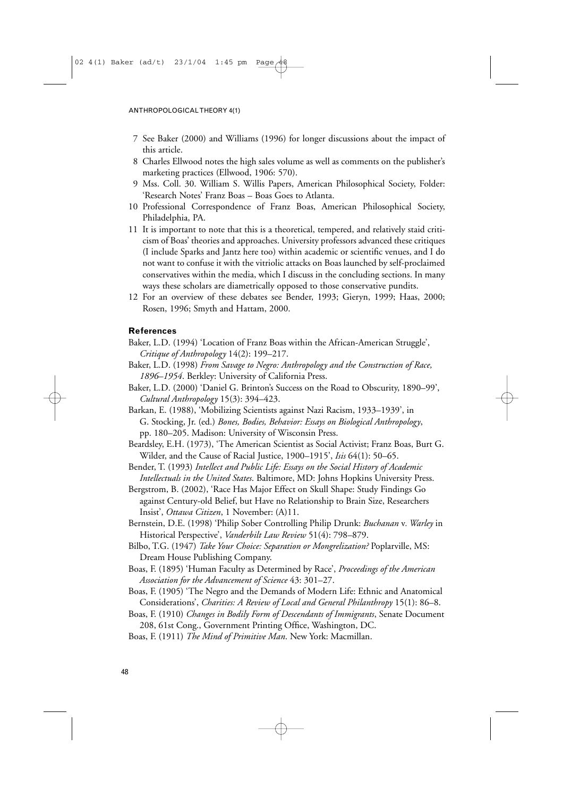- 17 See Baker (2000) and Williams (1996) for longer discussions about the impact of this article.
- 18 Charles Ellwood notes the high sales volume as well as comments on the publisher's marketing practices (Ellwood, 1906: 570).
- 19 Mss. Coll. 30. William S. Willis Papers, American Philosophical Society, Folder: 'Research Notes' Franz Boas – Boas Goes to Atlanta.
- 10 Professional Correspondence of Franz Boas, American Philosophical Society, Philadelphia, PA.
- 11 It is important to note that this is a theoretical, tempered, and relatively staid criticism of Boas' theories and approaches. University professors advanced these critiques (I include Sparks and Jantz here too) within academic or scientific venues, and I do not want to confuse it with the vitriolic attacks on Boas launched by self-proclaimed conservatives within the media, which I discuss in the concluding sections. In many ways these scholars are diametrically opposed to those conservative pundits.
- 12 For an overview of these debates see Bender, 1993; Gieryn, 1999; Haas, 2000; Rosen, 1996; Smyth and Hattam, 2000.

## **References**

- Baker, L.D. (1994) 'Location of Franz Boas within the African-American Struggle', *Critique of Anthropology* 14(2): 199–217.
- Baker, L.D. (1998) *From Savage to Negro: Anthropology and the Construction of Race, 1896–1954*. Berkley: University of California Press.
- Baker, L.D. (2000) 'Daniel G. Brinton's Success on the Road to Obscurity, 1890–99', *Cultural Anthropology* 15(3): 394–423.
- Barkan, E. (1988), 'Mobilizing Scientists against Nazi Racism, 1933–1939', in G. Stocking, Jr. (ed.) *Bones, Bodies, Behavior: Essays on Biological Anthropology*, pp. 180–205. Madison: University of Wisconsin Press.
- Beardsley, E.H. (1973), 'The American Scientist as Social Activist; Franz Boas, Burt G. Wilder, and the Cause of Racial Justice, 1900–1915', *Isis* 64(1): 50–65.
- Bender, T. (1993) *Intellect and Public Life: Essays on the Social History of Academic Intellectuals in the United States*. Baltimore, MD: Johns Hopkins University Press.
- Bergstrom, B. (2002), 'Race Has Major Effect on Skull Shape: Study Findings Go against Century-old Belief, but Have no Relationship to Brain Size, Researchers Insist', *Ottawa Citizen*, 1 November: (A)11.
- Bernstein, D.E. (1998) 'Philip Sober Controlling Philip Drunk: *Buchanan* v*. Warley* in Historical Perspective', *Vanderbilt Law Review* 51(4): 798–879.
- Bilbo, T.G. (1947) *Take Your Choice: Separation or Mongrelization?* Poplarville, MS: Dream House Publishing Company.
- Boas, F. (1895) 'Human Faculty as Determined by Race', *Proceedings of the American Association for the Advancement of Science* 43: 301–27.
- Boas, F. (1905) 'The Negro and the Demands of Modern Life: Ethnic and Anatomical Considerations', *Charities: A Review of Local and General Philanthropy* 15(1): 86–8.
- Boas, F. (1910) *Changes in Bodily Form of Descendants of Immigrants*, Senate Document 208, 61st Cong., Government Printing Office, Washington, DC.
- Boas, F. (1911) *The Mind of Primitive Man*. New York: Macmillan.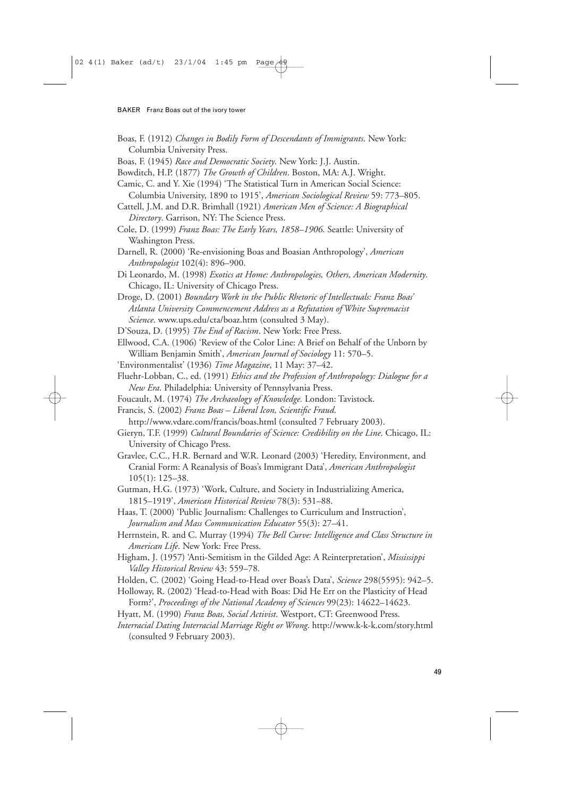- Boas, F. (1912) *Changes in Bodily Form of Descendants of Immigrants*. New York: Columbia University Press.
- Boas, F. (1945) *Race and Democratic Society*. New York: J.J. Austin.
- Bowditch, H.P. (1877) *The Growth of Children*. Boston, MA: A.J. Wright.
- Camic, C. and Y. Xie (1994) 'The Statistical Turn in American Social Science: Columbia University, 1890 to 1915', *American Sociological Review* 59: 773–805.
- Cattell, J.M. and D.R. Brimhall (1921) *American Men of Science: A Biographical Directory*. Garrison, NY: The Science Press.
- Cole, D. (1999) *Franz Boas: The Early Years, 1858–1906*. Seattle: University of Washington Press.
- Darnell, R. (2000) 'Re-envisioning Boas and Boasian Anthropology', *American Anthropologist* 102(4): 896–900.
- Di Leonardo, M. (1998) *Exotics at Home: Anthropologies, Others, American Modernity*. Chicago, IL: University of Chicago Press.
- Droge, D. (2001) *Boundary Work in the Public Rhetoric of Intellectuals: Franz Boas' Atlanta University Commencement Address as a Refutation of White Supremacist Science*. www.ups.edu/cta/boaz.htm (consulted 3 May).
- D'Souza, D. (1995) *The End of Racism*. New York: Free Press.

Ellwood, C.A. (1906) 'Review of the Color Line: A Brief on Behalf of the Unborn by William Benjamin Smith', *American Journal of Sociology* 11: 570–5.

- 'Environmentalist' (1936) *Time Magazine*, 11 May: 37–42.
- Fluehr-Lobban, C., ed. (1991) *Ethics and the Profession of Anthropology: Dialogue for a New Era*. Philadelphia: University of Pennsylvania Press.
- Foucault, M. (1974) *The Archaeology of Knowledge.* London: Tavistock.

Francis, S. (2002) *Franz Boas – Liberal Icon, Scientific Fraud*.

- http://www.vdare.com/francis/boas.html (consulted 7 February 2003).
- Gieryn, T.F. (1999) *Cultural Boundaries of Science: Credibility on the Line*. Chicago, IL: University of Chicago Press.
- Gravlee, C.C., H.R. Bernard and W.R. Leonard (2003) 'Heredity, Environment, and Cranial Form: A Reanalysis of Boas's Immigrant Data', *American Anthropologist* 105(1): 125–38.
- Gutman, H.G. (1973) 'Work, Culture, and Society in Industrializing America, 1815–1919', *American Historical Review* 78(3): 531–88.
- Haas, T. (2000) 'Public Journalism: Challenges to Curriculum and Instruction', *Journalism and Mass Communication Educator* 55(3): 27–41.
- Herrnstein, R. and C. Murray (1994) *The Bell Curve: Intelligence and Class Structure in American Life*. New York: Free Press.
- Higham, J. (1957) 'Anti-Semitism in the Gilded Age: A Reinterpretation', *Mississippi Valley Historical Review* 43: 559–78.
- Holden, C. (2002) 'Going Head-to-Head over Boas's Data', *Science* 298(5595): 942–5.
- Holloway, R. (2002) 'Head-to-Head with Boas: Did He Err on the Plasticity of Head Form?', *Proceedings of the National Academy of Sciences* 99(23): 14622–14623.

Hyatt, M. (1990) *Franz Boas, Social Activist*. Westport, CT: Greenwood Press.

*Interracial Dating Interracial Marriage Right or Wrong*. http://www.k-k-k.com/story.html (consulted 9 February 2003).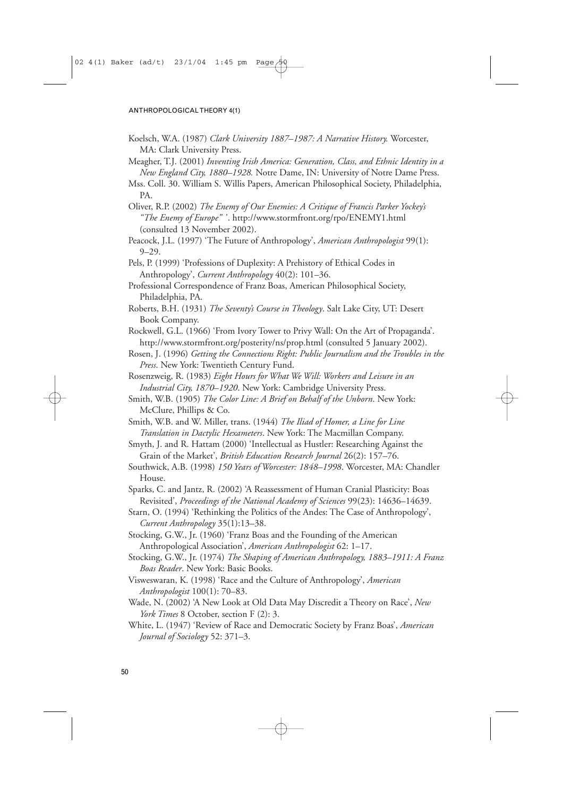- Koelsch, W.A. (1987) *Clark University 1887–1987: A Narrative History.* Worcester, MA: Clark University Press.
- Meagher, T.J. (2001) *Inventing Irish America: Generation, Class, and Ethnic Identity in a New England City, 1880–1928.* Notre Dame, IN: University of Notre Dame Press.
- Mss. Coll. 30. William S. Willis Papers, American Philosophical Society, Philadelphia, PA.
- Oliver, R.P. (2002) *The Enemy of Our Enemies: A Critique of Francis Parker Yockey's "The Enemy of Europe" '* . http://www.stormfront.org/rpo/ENEMY1.html (consulted 13 November 2002).
- Peacock, J.L. (1997) 'The Future of Anthropology', *American Anthropologist* 99(1): 9–29.
- Pels, P. (1999) 'Professions of Duplexity: A Prehistory of Ethical Codes in Anthropology', *Current Anthropology* 40(2): 101–36.
- Professional Correspondence of Franz Boas, American Philosophical Society, Philadelphia, PA.
- Roberts, B.H. (1931) *The Seventy's Course in Theology*. Salt Lake City, UT: Desert Book Company.
- Rockwell, G.L. (1966) 'From Ivory Tower to Privy Wall: On the Art of Propaganda'. http://www.stormfront.org/posterity/ns/prop.html (consulted 5 January 2002).
- Rosen, J. (1996) *Getting the Connections Right: Public Journalism and the Troubles in the Press*. New York: Twentieth Century Fund.
- Rosenzweig, R. (1983) *Eight Hours for What We Will: Workers and Leisure in an Industrial City, 1870–1920*. New York: Cambridge University Press.
- Smith, W.B. (1905) *The Color Line: A Brief on Behalf of the Unborn*. New York: McClure, Phillips & Co.
- Smith, W.B. and W. Miller, trans. (1944) *The Iliad of Homer, a Line for Line Translation in Dactylic Hexameters*. New York: The Macmillan Company.
- Smyth, J. and R. Hattam (2000) 'Intellectual as Hustler: Researching Against the Grain of the Market', *British Education Research Journal* 26(2): 157–76.
- Southwick, A.B. (1998) *150 Years of Worcester: 1848–1998*. Worcester, MA: Chandler House.
- Sparks, C. and Jantz, R. (2002) 'A Reassessment of Human Cranial Plasticity: Boas Revisited', *Proceedings of the National Academy of Sciences* 99(23): 14636–14639.
- Starn, O. (1994) 'Rethinking the Politics of the Andes: The Case of Anthropology', *Current Anthropology* 35(1):13–38.
- Stocking, G.W., Jr. (1960) 'Franz Boas and the Founding of the American Anthropological Association', *American Anthropologist* 62: 1–17.
- Stocking, G.W., Jr. (1974) *The Shaping of American Anthropology, 1883–1911: A Franz Boas Reader*. New York: Basic Books.
- Visweswaran, K. (1998) 'Race and the Culture of Anthropology', *American Anthropologist* 100(1): 70–83.
- Wade, N. (2002) 'A New Look at Old Data May Discredit a Theory on Race', *New York Times* 8 October, section F (2): 3.
- White, L. (1947) 'Review of Race and Democratic Society by Franz Boas', *American Journal of Sociology* 52: 371–3.